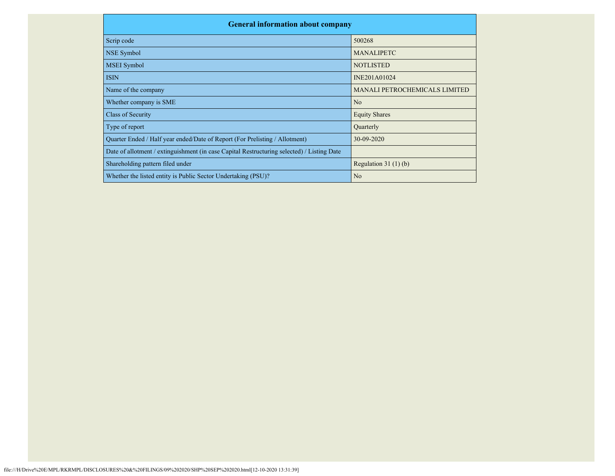| <b>General information about company</b>                                                   |                               |
|--------------------------------------------------------------------------------------------|-------------------------------|
| Scrip code                                                                                 | 500268                        |
| NSE Symbol                                                                                 | <b>MANALIPETC</b>             |
| <b>MSEI</b> Symbol                                                                         | <b>NOTLISTED</b>              |
| <b>ISIN</b>                                                                                | INE201A01024                  |
| Name of the company                                                                        | MANALI PETROCHEMICALS LIMITED |
| Whether company is SME                                                                     | N <sub>o</sub>                |
| Class of Security                                                                          | <b>Equity Shares</b>          |
| Type of report                                                                             | Quarterly                     |
| Quarter Ended / Half year ended/Date of Report (For Prelisting / Allotment)                | 30-09-2020                    |
| Date of allotment / extinguishment (in case Capital Restructuring selected) / Listing Date |                               |
| Shareholding pattern filed under                                                           | Regulation $31(1)(b)$         |
| Whether the listed entity is Public Sector Undertaking (PSU)?                              | N <sub>o</sub>                |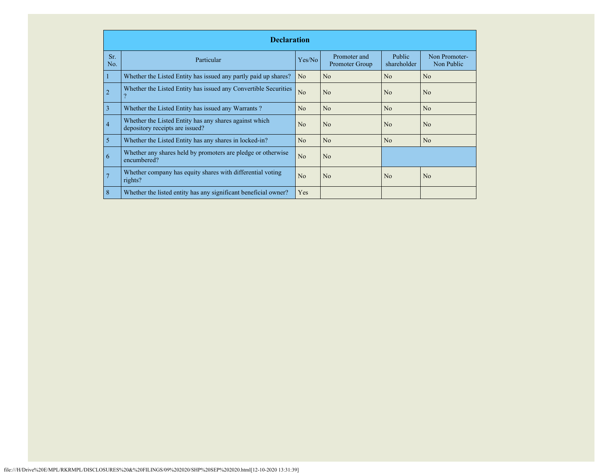|            | <b>Declaration</b>                                                                        |                |                                |                              |                             |  |  |  |  |  |
|------------|-------------------------------------------------------------------------------------------|----------------|--------------------------------|------------------------------|-----------------------------|--|--|--|--|--|
| Sr.<br>No. | Particular                                                                                | Yes/No         | Promoter and<br>Promoter Group | <b>Public</b><br>shareholder | Non Promoter-<br>Non Public |  |  |  |  |  |
|            | Whether the Listed Entity has issued any partly paid up shares?                           | N <sub>o</sub> | N <sub>o</sub>                 | N <sub>o</sub>               | N <sub>o</sub>              |  |  |  |  |  |
|            | Whether the Listed Entity has issued any Convertible Securities                           | No             | N <sub>o</sub>                 | No                           | N <sub>o</sub>              |  |  |  |  |  |
| 3          | Whether the Listed Entity has issued any Warrants?                                        | N <sub>o</sub> | N <sub>o</sub>                 | No                           | N <sub>o</sub>              |  |  |  |  |  |
| 4          | Whether the Listed Entity has any shares against which<br>depository receipts are issued? | N <sub>o</sub> | N <sub>o</sub>                 | No                           | N <sub>o</sub>              |  |  |  |  |  |
| 5          | Whether the Listed Entity has any shares in locked-in?                                    | No             | N <sub>o</sub>                 | No                           | N <sub>o</sub>              |  |  |  |  |  |
| 6          | Whether any shares held by promoters are pledge or otherwise<br>encumbered?               | No             | N <sub>o</sub>                 |                              |                             |  |  |  |  |  |
|            | Whether company has equity shares with differential voting<br>rights?                     | N <sub>o</sub> | N <sub>o</sub>                 | No                           | N <sub>o</sub>              |  |  |  |  |  |
| 8          | Whether the listed entity has any significant beneficial owner?                           | Yes            |                                |                              |                             |  |  |  |  |  |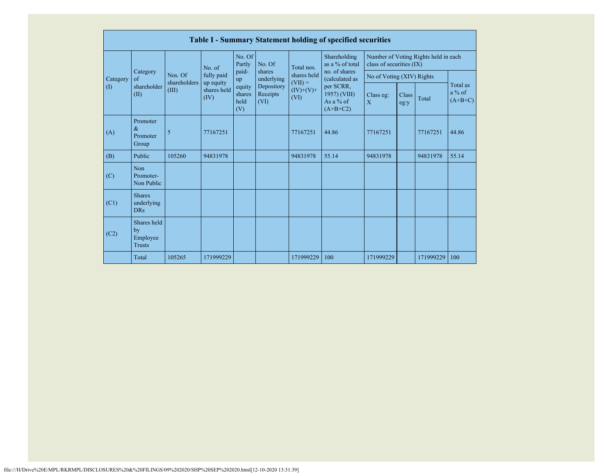|          | <b>Table I - Summary Statement holding of specified securities</b> |                         |                          |                                 |                                |                                                 |                                                                                                                              |                                                                  |               |           |                                   |  |  |
|----------|--------------------------------------------------------------------|-------------------------|--------------------------|---------------------------------|--------------------------------|-------------------------------------------------|------------------------------------------------------------------------------------------------------------------------------|------------------------------------------------------------------|---------------|-----------|-----------------------------------|--|--|
|          | Category<br>of<br>shareholder<br>(II)                              | No. of                  |                          | No. Of<br>Partly                | No. Of                         | Total nos.                                      | Shareholding<br>as a % of total<br>no. of shares<br>(calculated as<br>per SCRR,<br>1957) (VIII)<br>As a $%$ of<br>$(A+B+C2)$ | Number of Voting Rights held in each<br>class of securities (IX) |               |           |                                   |  |  |
| Category |                                                                    | Nos. Of<br>shareholders | fully paid               | paid-<br>up                     | shares<br>underlying           | shares held<br>$(VII) =$<br>$(IV)+(V)+$<br>(VI) |                                                                                                                              | No of Voting (XIV) Rights                                        |               |           |                                   |  |  |
| (1)      |                                                                    | (III)<br>(IV)           | up equity<br>shares held | equity<br>shares<br>held<br>(V) | Depository<br>Receipts<br>(VI) |                                                 |                                                                                                                              | Class eg:<br>$\overline{X}$                                      | Class<br>eg:y | Total     | Total as<br>$a\%$ of<br>$(A+B+C)$ |  |  |
| (A)      | Promoter<br>$\&$<br>Promoter<br>Group                              | 5                       | 77167251                 |                                 |                                | 77167251                                        | 44.86                                                                                                                        | 77167251                                                         |               | 77167251  | 44.86                             |  |  |
| (B)      | Public                                                             | 105260                  | 94831978                 |                                 |                                | 94831978                                        | 55.14                                                                                                                        | 94831978                                                         |               | 94831978  | 55.14                             |  |  |
| (C)      | Non<br>Promoter-<br>Non Public                                     |                         |                          |                                 |                                |                                                 |                                                                                                                              |                                                                  |               |           |                                   |  |  |
| (C1)     | <b>Shares</b><br>underlying<br><b>DRs</b>                          |                         |                          |                                 |                                |                                                 |                                                                                                                              |                                                                  |               |           |                                   |  |  |
| (C2)     | Shares held<br>by<br>Employee<br><b>Trusts</b>                     |                         |                          |                                 |                                |                                                 |                                                                                                                              |                                                                  |               |           |                                   |  |  |
|          | Total                                                              | 105265                  | 171999229                |                                 |                                | 171999229                                       | 100                                                                                                                          | 171999229                                                        |               | 171999229 | 100                               |  |  |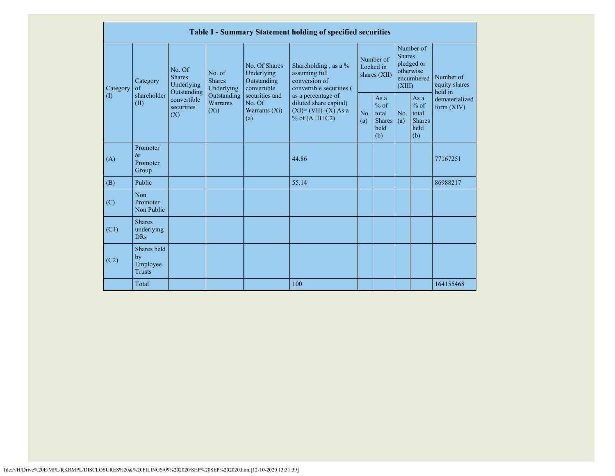|           |                                                |                                                 |                                       |                                                           | Table I - Summary Statement holding of specified securities                                |                                        |                                                        |                                                                               |                                                           |                                       |
|-----------|------------------------------------------------|-------------------------------------------------|---------------------------------------|-----------------------------------------------------------|--------------------------------------------------------------------------------------------|----------------------------------------|--------------------------------------------------------|-------------------------------------------------------------------------------|-----------------------------------------------------------|---------------------------------------|
| Category  | Category<br>$\sigma$                           | No. Of<br><b>Shares</b><br>Underlying           | No. of<br><b>Shares</b><br>Underlying | No. Of Shares<br>Underlying<br>Outstanding<br>convertible | Shareholding, as a %<br>assuming full<br>conversion of<br>convertible securities (         | Number of<br>Locked in<br>shares (XII) |                                                        | Number of<br><b>Shares</b><br>pledged or<br>otherwise<br>encumbered<br>(XIII) |                                                           | Number of<br>equity shares<br>held in |
| $\rm (I)$ | shareholder<br>(II)                            | Outstanding<br>convertible<br>securities<br>(X) | Outstanding<br>Warrants<br>$(X_i)$    | securities and<br>No. Of<br>Warrants $(X_i)$<br>(a)       | as a percentage of<br>diluted share capital)<br>$(XI) = (VII)+(X) As a$<br>% of $(A+B+C2)$ | No.<br>(a)                             | Asa<br>$%$ of<br>total<br><b>Shares</b><br>held<br>(b) | No.<br>(a)                                                                    | As $a$<br>$%$ of<br>total<br><b>Shares</b><br>held<br>(b) | dematerialized<br>form $(XIV)$        |
| (A)       | Promoter<br>$\&$<br>Promoter<br>Group          |                                                 |                                       |                                                           | 44.86                                                                                      |                                        |                                                        |                                                                               |                                                           | 77167251                              |
| (B)       | Public                                         |                                                 |                                       |                                                           | 55.14                                                                                      |                                        |                                                        |                                                                               |                                                           | 86988217                              |
| (C)       | Non<br>Promoter-<br>Non Public                 |                                                 |                                       |                                                           |                                                                                            |                                        |                                                        |                                                                               |                                                           |                                       |
| (C1)      | <b>Shares</b><br>underlying<br><b>DRs</b>      |                                                 |                                       |                                                           |                                                                                            |                                        |                                                        |                                                                               |                                                           |                                       |
| (C2)      | Shares held<br>by<br>Employee<br><b>Trusts</b> |                                                 |                                       |                                                           |                                                                                            |                                        |                                                        |                                                                               |                                                           |                                       |
|           | Total                                          |                                                 |                                       |                                                           | 100                                                                                        |                                        |                                                        |                                                                               |                                                           | 164155468                             |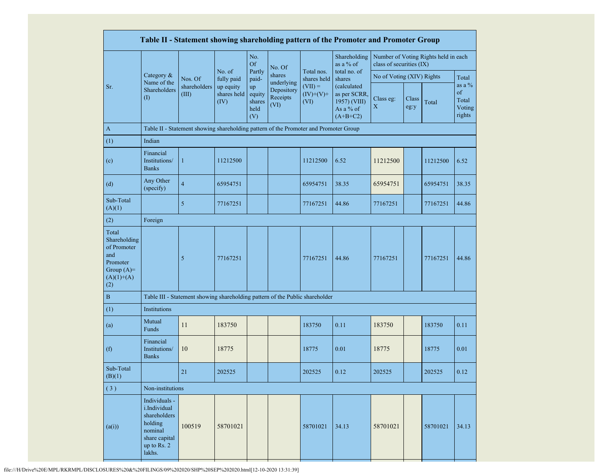|                                                                                                |                                                                                                               |                                                                                      |                                  |                                       |                                |                                  | Table II - Statement showing shareholding pattern of the Promoter and Promoter Group |                           |               |                                      |                                             |
|------------------------------------------------------------------------------------------------|---------------------------------------------------------------------------------------------------------------|--------------------------------------------------------------------------------------|----------------------------------|---------------------------------------|--------------------------------|----------------------------------|--------------------------------------------------------------------------------------|---------------------------|---------------|--------------------------------------|---------------------------------------------|
|                                                                                                |                                                                                                               |                                                                                      |                                  | No.<br><b>Of</b>                      | No. Of                         |                                  | Shareholding<br>as a % of                                                            | class of securities (IX)  |               | Number of Voting Rights held in each |                                             |
|                                                                                                | Category &                                                                                                    | Nos. Of<br>shareholders<br>(III)                                                     | No. of<br>fully paid             | Partly<br>paid-                       | shares<br>underlying           | Total nos.<br>shares held        | total no. of<br>shares                                                               | No of Voting (XIV) Rights |               |                                      | Total                                       |
| Sr.                                                                                            | Name of the<br>Shareholders<br>(1)                                                                            |                                                                                      | up equity<br>shares held<br>(IV) | up<br>equity<br>shares<br>held<br>(V) | Depository<br>Receipts<br>(VI) | $(VII) =$<br>$(IV)+(V)+$<br>(VI) | (calculated<br>as per SCRR,<br>1957) (VIII)<br>As a % of<br>$(A+B+C2)$               | Class eg:<br>X            | Class<br>eg:y | Total                                | as a $%$<br>of<br>Total<br>Voting<br>rights |
| $\mathbf{A}$                                                                                   |                                                                                                               | Table II - Statement showing shareholding pattern of the Promoter and Promoter Group |                                  |                                       |                                |                                  |                                                                                      |                           |               |                                      |                                             |
| (1)                                                                                            | Indian                                                                                                        |                                                                                      |                                  |                                       |                                |                                  |                                                                                      |                           |               |                                      |                                             |
| (c)                                                                                            | Financial<br>Institutions/<br><b>Banks</b>                                                                    | $\mathbf{1}$                                                                         | 11212500                         |                                       |                                | 11212500                         | 6.52                                                                                 | 11212500                  |               | 11212500                             | 6.52                                        |
| (d)                                                                                            | Any Other<br>(specify)                                                                                        | $\overline{4}$                                                                       | 65954751                         |                                       |                                | 65954751                         | 38.35                                                                                | 65954751                  |               | 65954751                             | 38.35                                       |
| Sub-Total<br>(A)(1)                                                                            |                                                                                                               | 5                                                                                    | 77167251                         |                                       |                                | 77167251                         | 44.86                                                                                | 77167251                  |               | 77167251                             | 44.86                                       |
| (2)                                                                                            | Foreign                                                                                                       |                                                                                      |                                  |                                       |                                |                                  |                                                                                      |                           |               |                                      |                                             |
| Total<br>Shareholding<br>of Promoter<br>and<br>Promoter<br>Group $(A)=$<br>$(A)(1)+(A)$<br>(2) |                                                                                                               | 5                                                                                    | 77167251                         |                                       |                                | 77167251                         | 44.86                                                                                | 77167251                  |               | 77167251                             | 44.86                                       |
| $\bf{B}$                                                                                       |                                                                                                               | Table III - Statement showing shareholding pattern of the Public shareholder         |                                  |                                       |                                |                                  |                                                                                      |                           |               |                                      |                                             |
| (1)                                                                                            | Institutions                                                                                                  |                                                                                      |                                  |                                       |                                |                                  |                                                                                      |                           |               |                                      |                                             |
| (a)                                                                                            | Mutual<br>Funds                                                                                               | 11                                                                                   | 183750                           |                                       |                                | 183750                           | 0.11                                                                                 | 183750                    |               | 183750                               | 0.11                                        |
| (f)                                                                                            | Financial<br>Institutions/<br><b>Banks</b>                                                                    | 10                                                                                   | 18775                            |                                       |                                | 18775                            | 0.01                                                                                 | 18775                     |               | 18775                                | 0.01                                        |
| Sub-Total<br>(B)(1)                                                                            |                                                                                                               | 21                                                                                   | 202525                           |                                       |                                | 202525                           | 0.12                                                                                 | 202525                    |               | 202525                               | 0.12                                        |
| (3)                                                                                            | Non-institutions                                                                                              |                                                                                      |                                  |                                       |                                |                                  |                                                                                      |                           |               |                                      |                                             |
| (a(i))                                                                                         | Individuals -<br>i.Individual<br>shareholders<br>holding<br>nominal<br>share capital<br>up to Rs. 2<br>lakhs. | 100519                                                                               | 58701021                         |                                       |                                | 58701021                         | 34.13                                                                                | 58701021                  |               | 58701021                             | 34.13                                       |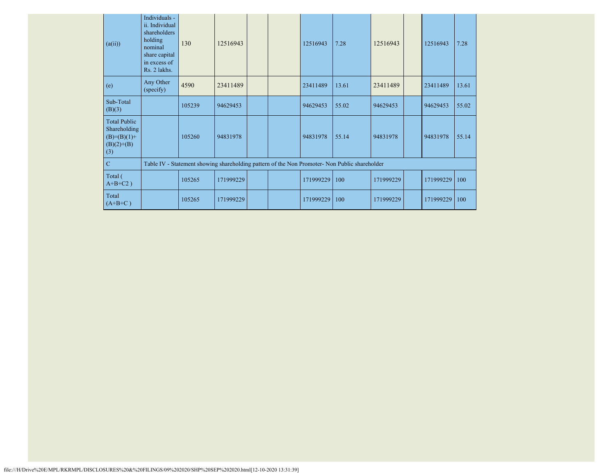| (a(ii))                                                                     | Individuals -<br>ii. Individual<br>shareholders<br>holding<br>nominal<br>share capital<br>in excess of<br>Rs. 2 lakhs. | 130    | 12516943  |  | 12516943  | 7.28                                                                                          | 12516943  | 12516943  | 7.28  |
|-----------------------------------------------------------------------------|------------------------------------------------------------------------------------------------------------------------|--------|-----------|--|-----------|-----------------------------------------------------------------------------------------------|-----------|-----------|-------|
| (e)                                                                         | Any Other<br>(specify)                                                                                                 | 4590   | 23411489  |  | 23411489  | 13.61                                                                                         | 23411489  | 23411489  | 13.61 |
| Sub-Total<br>(B)(3)                                                         |                                                                                                                        | 105239 | 94629453  |  | 94629453  | 55.02                                                                                         | 94629453  | 94629453  | 55.02 |
| <b>Total Public</b><br>Shareholding<br>$(B)=(B)(1)+$<br>$(B)(2)+(B)$<br>(3) |                                                                                                                        | 105260 | 94831978  |  | 94831978  | 55.14                                                                                         | 94831978  | 94831978  | 55.14 |
| $\mathbf C$                                                                 |                                                                                                                        |        |           |  |           | Table IV - Statement showing shareholding pattern of the Non Promoter- Non Public shareholder |           |           |       |
| Total (<br>$A+B+C2$ )                                                       |                                                                                                                        | 105265 | 171999229 |  | 171999229 | 100                                                                                           | 171999229 | 171999229 | 100   |
| Total<br>$(A+B+C)$                                                          |                                                                                                                        | 105265 | 171999229 |  | 171999229 | 100                                                                                           | 171999229 | 171999229 | 100   |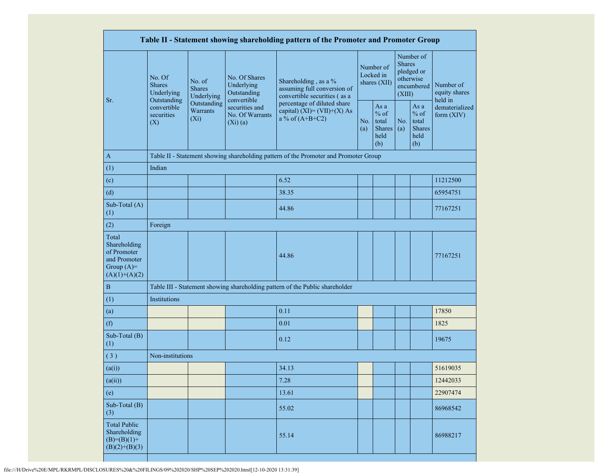|                                                                                         |                                                                  |                                    |                                                                  | Table II - Statement showing shareholding pattern of the Promoter and Promoter Group                                                                                      |  |                                                         |            |                                                                               |                                       |  |
|-----------------------------------------------------------------------------------------|------------------------------------------------------------------|------------------------------------|------------------------------------------------------------------|---------------------------------------------------------------------------------------------------------------------------------------------------------------------------|--|---------------------------------------------------------|------------|-------------------------------------------------------------------------------|---------------------------------------|--|
| Sr.                                                                                     | No. Of<br>No. of<br><b>Shares</b><br><b>Shares</b><br>Underlying | Underlying                         | No. Of Shares<br>Underlying<br>Outstanding                       | Shareholding, as a %<br>assuming full conversion of<br>convertible securities (as a<br>percentage of diluted share<br>capital) $(XI) = (VII)+(X) As$<br>a % of $(A+B+C2)$ |  | Number of<br>Locked in<br>shares (XII)                  |            | Number of<br><b>Shares</b><br>pledged or<br>otherwise<br>encumbered<br>(XIII) | Number of<br>equity shares<br>held in |  |
|                                                                                         | Outstanding<br>convertible<br>securities<br>(X)                  | Outstanding<br>Warrants<br>$(X_i)$ | convertible<br>securities and<br>No. Of Warrants<br>$(Xi)$ $(a)$ |                                                                                                                                                                           |  | As a<br>$%$ of<br>total<br><b>Shares</b><br>held<br>(b) | No.<br>(a) | As a<br>$%$ of<br>total<br><b>Shares</b><br>held<br>(b)                       | dematerialized<br>form (XIV)          |  |
| $\mathbf{A}$                                                                            |                                                                  |                                    |                                                                  | Table II - Statement showing shareholding pattern of the Promoter and Promoter Group                                                                                      |  |                                                         |            |                                                                               |                                       |  |
| (1)                                                                                     | Indian                                                           |                                    |                                                                  |                                                                                                                                                                           |  |                                                         |            |                                                                               |                                       |  |
| (c)                                                                                     |                                                                  |                                    |                                                                  | 6.52                                                                                                                                                                      |  |                                                         |            |                                                                               | 11212500                              |  |
| (d)                                                                                     |                                                                  |                                    |                                                                  | 38.35                                                                                                                                                                     |  |                                                         |            |                                                                               | 65954751                              |  |
| Sub-Total (A)<br>(1)                                                                    |                                                                  |                                    |                                                                  | 44.86                                                                                                                                                                     |  |                                                         |            |                                                                               | 77167251                              |  |
| (2)                                                                                     | Foreign                                                          |                                    |                                                                  |                                                                                                                                                                           |  |                                                         |            |                                                                               |                                       |  |
| Total<br>Shareholding<br>of Promoter<br>and Promoter<br>Group $(A)=$<br>$(A)(1)+(A)(2)$ |                                                                  |                                    |                                                                  | 44.86                                                                                                                                                                     |  |                                                         |            |                                                                               | 77167251                              |  |
| $\, {\bf B}$                                                                            |                                                                  |                                    |                                                                  | Table III - Statement showing shareholding pattern of the Public shareholder                                                                                              |  |                                                         |            |                                                                               |                                       |  |
| (1)                                                                                     | Institutions                                                     |                                    |                                                                  |                                                                                                                                                                           |  |                                                         |            |                                                                               |                                       |  |
| (a)                                                                                     |                                                                  |                                    |                                                                  | 0.11                                                                                                                                                                      |  |                                                         |            |                                                                               | 17850                                 |  |
| (f)                                                                                     |                                                                  |                                    |                                                                  | 0.01                                                                                                                                                                      |  |                                                         |            |                                                                               | 1825                                  |  |
| Sub-Total (B)<br>(1)                                                                    |                                                                  |                                    |                                                                  | 0.12                                                                                                                                                                      |  |                                                         |            |                                                                               | 19675                                 |  |
| (3)                                                                                     | Non-institutions                                                 |                                    |                                                                  |                                                                                                                                                                           |  |                                                         |            |                                                                               |                                       |  |
| (a(i))                                                                                  |                                                                  |                                    |                                                                  | 34.13                                                                                                                                                                     |  |                                                         |            |                                                                               | 51619035                              |  |
| (a(ii))                                                                                 |                                                                  |                                    |                                                                  | 7.28                                                                                                                                                                      |  |                                                         |            |                                                                               | 12442033                              |  |
| (e)                                                                                     |                                                                  |                                    |                                                                  | 13.61                                                                                                                                                                     |  |                                                         |            |                                                                               | 22907474                              |  |
| Sub-Total $(B)$<br>(3)                                                                  |                                                                  |                                    |                                                                  | 55.02                                                                                                                                                                     |  |                                                         |            |                                                                               | 86968542                              |  |
| <b>Total Public</b><br>Shareholding<br>$(B)=(B)(1)+$<br>$(B)(2)+(B)(3)$                 |                                                                  |                                    |                                                                  | 55.14                                                                                                                                                                     |  |                                                         |            |                                                                               | 86988217                              |  |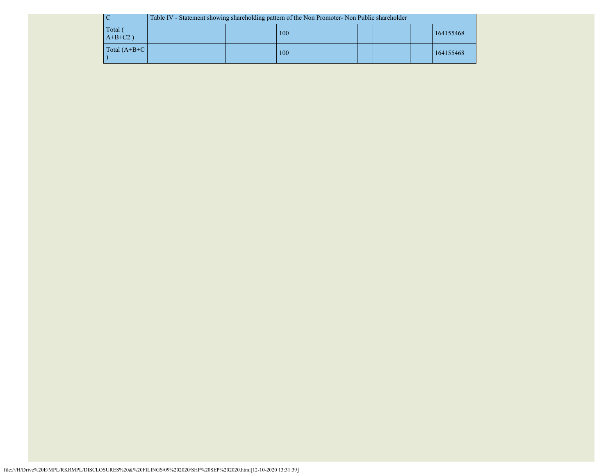|                       | Table IV - Statement showing shareholding pattern of the Non Promoter- Non Public shareholder |  |  |     |  |  |  |  |           |
|-----------------------|-----------------------------------------------------------------------------------------------|--|--|-----|--|--|--|--|-----------|
| Total (<br>$A+B+C2$ ) |                                                                                               |  |  | 100 |  |  |  |  | 164155468 |
| Total $(A+B+C)$       |                                                                                               |  |  | 100 |  |  |  |  | 164155468 |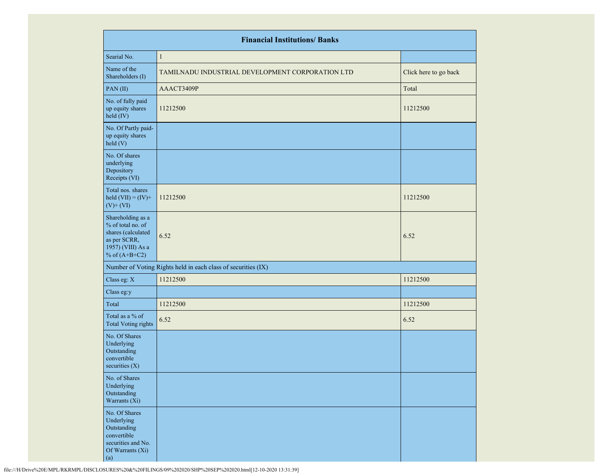|                                                                                                                      | <b>Financial Institutions/ Banks</b>                          |                       |
|----------------------------------------------------------------------------------------------------------------------|---------------------------------------------------------------|-----------------------|
| Searial No.                                                                                                          | $\mathbf{1}$                                                  |                       |
| Name of the<br>Shareholders (I)                                                                                      | TAMILNADU INDUSTRIAL DEVELOPMENT CORPORATION LTD              | Click here to go back |
| PAN(II)                                                                                                              | AAACT3409P                                                    | Total                 |
| No. of fully paid<br>up equity shares<br>held (IV)                                                                   | 11212500                                                      | 11212500              |
| No. Of Partly paid-<br>up equity shares<br>held (V)                                                                  |                                                               |                       |
| No. Of shares<br>underlying<br>Depository<br>Receipts (VI)                                                           |                                                               |                       |
| Total nos. shares<br>held $(VII) = (IV) +$<br>$(V)$ + $(VI)$                                                         | 11212500                                                      | 11212500              |
| Shareholding as a<br>% of total no. of<br>shares (calculated<br>as per SCRR,<br>1957) (VIII) As a<br>% of $(A+B+C2)$ | 6.52                                                          | 6.52                  |
|                                                                                                                      | Number of Voting Rights held in each class of securities (IX) |                       |
| Class eg: X                                                                                                          | 11212500                                                      | 11212500              |
| Class eg:y                                                                                                           |                                                               |                       |
| Total                                                                                                                | 11212500                                                      | 11212500              |
| Total as a % of<br><b>Total Voting rights</b>                                                                        | 6.52                                                          | 6.52                  |
| No. Of Shares<br>Underlying<br>Outstanding<br>convertible<br>securities $(X)$                                        |                                                               |                       |
| No. of Shares<br>Underlying<br>Outstanding<br>Warrants (Xi)                                                          |                                                               |                       |
| No. Of Shares<br>Underlying<br>Outstanding<br>convertible<br>securities and No.<br>Of Warrants (Xi)<br>(a)           |                                                               |                       |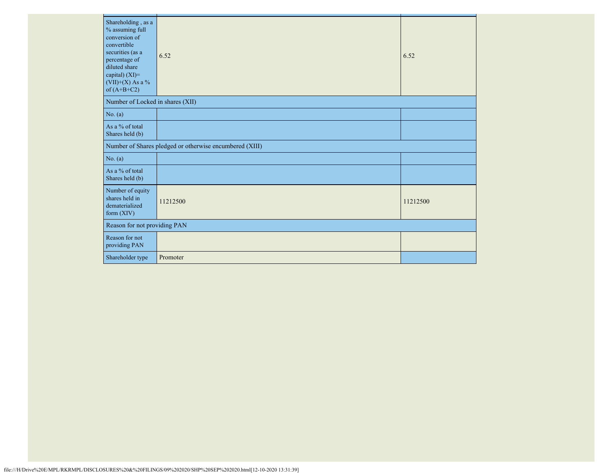| Shareholding, as a<br>% assuming full<br>conversion of<br>convertible<br>securities (as a<br>percentage of<br>diluted share<br>capital) (XI)=<br>$(VII)+(X)$ As a %<br>of $(A+B+C2)$ | 6.52                                                    | 6.52     |
|--------------------------------------------------------------------------------------------------------------------------------------------------------------------------------------|---------------------------------------------------------|----------|
| Number of Locked in shares (XII)                                                                                                                                                     |                                                         |          |
| No. (a)                                                                                                                                                                              |                                                         |          |
| As a % of total<br>Shares held (b)                                                                                                                                                   |                                                         |          |
|                                                                                                                                                                                      | Number of Shares pledged or otherwise encumbered (XIII) |          |
| No. (a)                                                                                                                                                                              |                                                         |          |
| As a % of total<br>Shares held (b)                                                                                                                                                   |                                                         |          |
| Number of equity<br>shares held in<br>dematerialized<br>form $(XIV)$                                                                                                                 | 11212500                                                | 11212500 |
| Reason for not providing PAN                                                                                                                                                         |                                                         |          |
| Reason for not<br>providing PAN                                                                                                                                                      |                                                         |          |
| Shareholder type                                                                                                                                                                     | Promoter                                                |          |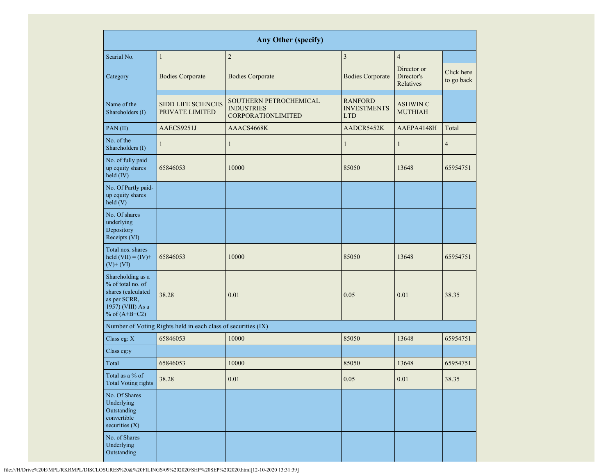|                                                                                                                      |                                                               | <b>Any Other (specify)</b>                                               |                                                    |                                        |                          |
|----------------------------------------------------------------------------------------------------------------------|---------------------------------------------------------------|--------------------------------------------------------------------------|----------------------------------------------------|----------------------------------------|--------------------------|
| Searial No.                                                                                                          | $\mathbf{1}$                                                  | $\sqrt{2}$                                                               | $\mathfrak{Z}$                                     | $\overline{4}$                         |                          |
| Category                                                                                                             | <b>Bodies Corporate</b>                                       | <b>Bodies Corporate</b>                                                  | <b>Bodies Corporate</b>                            | Director or<br>Director's<br>Relatives | Click here<br>to go back |
| Name of the<br>Shareholders (I)                                                                                      | <b>SIDD LIFE SCIENCES</b><br>PRIVATE LIMITED                  | SOUTHERN PETROCHEMICAL<br><b>INDUSTRIES</b><br><b>CORPORATIONLIMITED</b> | <b>RANFORD</b><br><b>INVESTMENTS</b><br><b>LTD</b> | <b>ASHWIN C</b><br><b>MUTHIAH</b>      |                          |
| PAN(II)                                                                                                              | AAECS9251J                                                    | AAACS4668K                                                               | AADCR5452K                                         | AAEPA4148H                             | Total                    |
| No. of the<br>Shareholders (I)                                                                                       | $\mathbf{1}$                                                  | 1                                                                        | $\mathbf{1}$                                       | $\mathbf{1}$                           | $\overline{4}$           |
| No. of fully paid<br>up equity shares<br>held (IV)                                                                   | 65846053                                                      | 10000                                                                    | 85050                                              | 13648                                  | 65954751                 |
| No. Of Partly paid-<br>up equity shares<br>held(V)                                                                   |                                                               |                                                                          |                                                    |                                        |                          |
| No. Of shares<br>underlying<br>Depository<br>Receipts (VI)                                                           |                                                               |                                                                          |                                                    |                                        |                          |
| Total nos. shares<br>held $(VII) = (IV) +$<br>$(V)$ + $(VI)$                                                         | 65846053                                                      | 10000                                                                    | 85050                                              | 13648                                  | 65954751                 |
| Shareholding as a<br>% of total no. of<br>shares (calculated<br>as per SCRR,<br>1957) (VIII) As a<br>% of $(A+B+C2)$ | 38.28                                                         | 0.01                                                                     | 0.05                                               | 0.01                                   | 38.35                    |
|                                                                                                                      | Number of Voting Rights held in each class of securities (IX) |                                                                          |                                                    |                                        |                          |
| Class eg: X                                                                                                          | 65846053                                                      | 10000                                                                    | 85050                                              | 13648                                  | 65954751                 |
| Class eg:y                                                                                                           |                                                               |                                                                          |                                                    |                                        |                          |
| Total                                                                                                                | 65846053                                                      | 10000                                                                    | 85050                                              | 13648                                  | 65954751                 |
| Total as a % of<br><b>Total Voting rights</b>                                                                        | 38.28                                                         | 0.01                                                                     | 0.05                                               | 0.01                                   | 38.35                    |
| No. Of Shares<br>Underlying<br>Outstanding<br>convertible<br>securities (X)                                          |                                                               |                                                                          |                                                    |                                        |                          |
| No. of Shares<br>Underlying<br>Outstanding                                                                           |                                                               |                                                                          |                                                    |                                        |                          |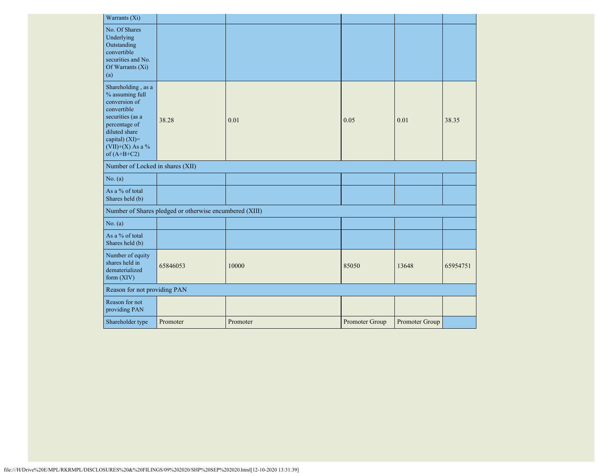| Warrants (Xi)                                                                                                                                                                      |                                                         |          |                |                |          |
|------------------------------------------------------------------------------------------------------------------------------------------------------------------------------------|---------------------------------------------------------|----------|----------------|----------------|----------|
| No. Of Shares<br>Underlying<br>Outstanding<br>convertible<br>securities and No.<br>Of Warrants $(X_i)$<br>(a)                                                                      |                                                         |          |                |                |          |
| Shareholding, as a<br>% assuming full<br>conversion of<br>convertible<br>securities (as a<br>percentage of<br>diluted share<br>capital) (XI)=<br>(VII)+(X) As a %<br>of $(A+B+C2)$ | 38.28                                                   | 0.01     | 0.05           | 0.01           | 38.35    |
| Number of Locked in shares (XII)                                                                                                                                                   |                                                         |          |                |                |          |
| No. (a)                                                                                                                                                                            |                                                         |          |                |                |          |
| As a % of total<br>Shares held (b)                                                                                                                                                 |                                                         |          |                |                |          |
|                                                                                                                                                                                    | Number of Shares pledged or otherwise encumbered (XIII) |          |                |                |          |
| No. (a)                                                                                                                                                                            |                                                         |          |                |                |          |
| As a % of total<br>Shares held (b)                                                                                                                                                 |                                                         |          |                |                |          |
| Number of equity<br>shares held in<br>dematerialized<br>form $(XIV)$                                                                                                               | 65846053                                                | 10000    | 85050          | 13648          | 65954751 |
| Reason for not providing PAN                                                                                                                                                       |                                                         |          |                |                |          |
| Reason for not<br>providing PAN                                                                                                                                                    |                                                         |          |                |                |          |
| Shareholder type                                                                                                                                                                   | Promoter                                                | Promoter | Promoter Group | Promoter Group |          |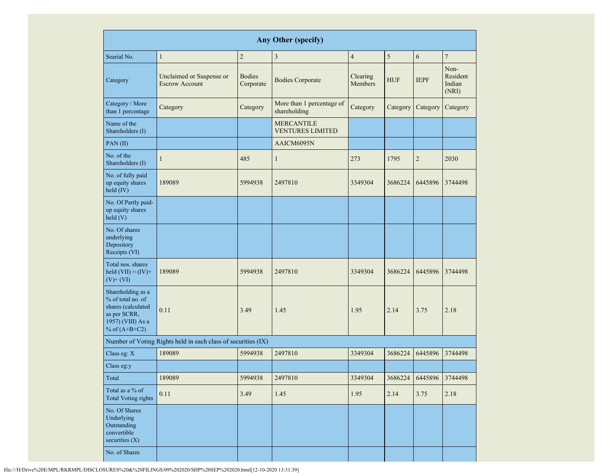| <b>Any Other (specify)</b>                                                                                           |                                                               |                            |                                              |                     |            |                 |                                     |
|----------------------------------------------------------------------------------------------------------------------|---------------------------------------------------------------|----------------------------|----------------------------------------------|---------------------|------------|-----------------|-------------------------------------|
| Searial No.                                                                                                          | $\mathbf{1}$                                                  | $\overline{c}$             | $\mathfrak z$                                | $\overline{4}$      | 5          | 6               | $\overline{7}$                      |
| Category                                                                                                             | Unclaimed or Suspense or<br><b>Escrow Account</b>             | <b>Bodies</b><br>Corporate | <b>Bodies Corporate</b>                      | Clearing<br>Members | <b>HUF</b> | <b>IEPF</b>     | Non-<br>Resident<br>Indian<br>(NRI) |
| Category / More<br>than 1 percentage                                                                                 | Category                                                      | Category                   | More than 1 percentage of<br>shareholding    | Category            | Category   | Category        | Category                            |
| Name of the<br>Shareholders (I)                                                                                      |                                                               |                            | <b>MERCANTILE</b><br><b>VENTURES LIMITED</b> |                     |            |                 |                                     |
| PAN(II)                                                                                                              |                                                               |                            | AAICM6095N                                   |                     |            |                 |                                     |
| No. of the<br>Shareholders (I)                                                                                       | $\mathbf{1}$                                                  | 485                        | $\mathbf{1}$                                 | 273                 | 1795       | $\overline{c}$  | 2030                                |
| No. of fully paid<br>up equity shares<br>held (IV)                                                                   | 189089                                                        | 5994938                    | 2497810                                      | 3349304             | 3686224    | 6445896         | 3744498                             |
| No. Of Partly paid-<br>up equity shares<br>held(V)                                                                   |                                                               |                            |                                              |                     |            |                 |                                     |
| No. Of shares<br>underlying<br>Depository<br>Receipts (VI)                                                           |                                                               |                            |                                              |                     |            |                 |                                     |
| Total nos. shares<br>held $(VII) = (IV) +$<br>$(V)$ + $(VI)$                                                         | 189089                                                        | 5994938                    | 2497810                                      | 3349304             | 3686224    | 6445896         | 3744498                             |
| Shareholding as a<br>% of total no. of<br>shares (calculated<br>as per SCRR,<br>1957) (VIII) As a<br>% of $(A+B+C2)$ | 0.11                                                          | 3.49                       | 1.45                                         | 1.95                | 2.14       | 3.75            | 2.18                                |
|                                                                                                                      | Number of Voting Rights held in each class of securities (IX) |                            |                                              |                     |            |                 |                                     |
| Class eg: X                                                                                                          | 189089                                                        | 5994938                    | 2497810                                      | 3349304             | 3686224    | 6445896         | 3744498                             |
| Class eg:y                                                                                                           |                                                               |                            |                                              |                     |            |                 |                                     |
| Total                                                                                                                | 189089                                                        | 5994938                    | 2497810                                      | 3349304             | 3686224    | 6445896 3744498 |                                     |
| Total as a % of<br><b>Total Voting rights</b>                                                                        | 0.11                                                          | 3.49                       | 1.45                                         | 1.95                | 2.14       | 3.75            | 2.18                                |
| No. Of Shares<br>Underlying<br>Outstanding<br>convertible<br>securities (X)                                          |                                                               |                            |                                              |                     |            |                 |                                     |
| No. of Shares                                                                                                        |                                                               |                            |                                              |                     |            |                 |                                     |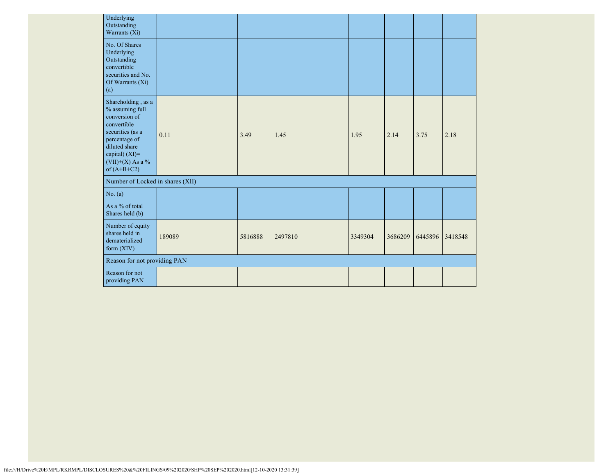| Underlying<br>Outstanding<br>Warrants (Xi)                                                                                                                                         |        |         |         |         |         |         |         |
|------------------------------------------------------------------------------------------------------------------------------------------------------------------------------------|--------|---------|---------|---------|---------|---------|---------|
| No. Of Shares<br>Underlying<br>Outstanding<br>convertible<br>securities and No.<br>Of Warrants (Xi)<br>(a)                                                                         |        |         |         |         |         |         |         |
| Shareholding, as a<br>% assuming full<br>conversion of<br>convertible<br>securities (as a<br>percentage of<br>diluted share<br>capital) (XI)=<br>(VII)+(X) As a %<br>of $(A+B+C2)$ | 0.11   | 3.49    | 1.45    | 1.95    | 2.14    | 3.75    | 2.18    |
| Number of Locked in shares (XII)                                                                                                                                                   |        |         |         |         |         |         |         |
| No. (a)                                                                                                                                                                            |        |         |         |         |         |         |         |
| As a % of total<br>Shares held (b)                                                                                                                                                 |        |         |         |         |         |         |         |
| Number of equity<br>shares held in<br>dematerialized<br>form $(XIV)$                                                                                                               | 189089 | 5816888 | 2497810 | 3349304 | 3686209 | 6445896 | 3418548 |
| Reason for not providing PAN                                                                                                                                                       |        |         |         |         |         |         |         |
| Reason for not<br>providing PAN                                                                                                                                                    |        |         |         |         |         |         |         |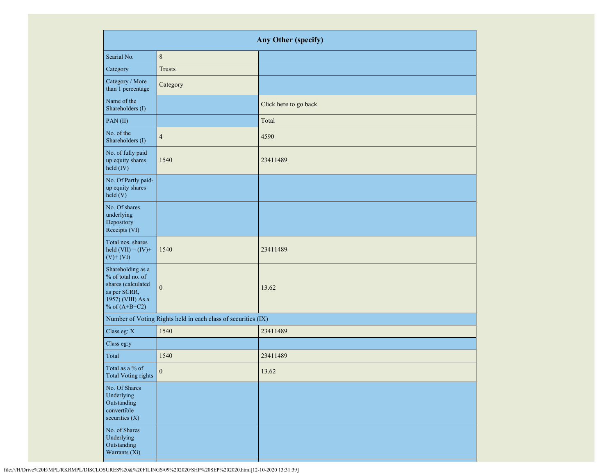|                                                                                                                      | Any Other (specify)                                           |                       |  |  |  |
|----------------------------------------------------------------------------------------------------------------------|---------------------------------------------------------------|-----------------------|--|--|--|
| Searial No.                                                                                                          | $\,8\,$                                                       |                       |  |  |  |
| Category                                                                                                             | <b>Trusts</b>                                                 |                       |  |  |  |
| Category / More<br>than 1 percentage                                                                                 | Category                                                      |                       |  |  |  |
| Name of the<br>Shareholders (I)                                                                                      |                                                               | Click here to go back |  |  |  |
| PAN(II)                                                                                                              |                                                               | Total                 |  |  |  |
| No. of the<br>Shareholders (I)                                                                                       | $\overline{4}$                                                | 4590                  |  |  |  |
| No. of fully paid<br>up equity shares<br>held (IV)                                                                   | 1540                                                          | 23411489              |  |  |  |
| No. Of Partly paid-<br>up equity shares<br>held (V)                                                                  |                                                               |                       |  |  |  |
| No. Of shares<br>underlying<br>Depository<br>Receipts (VI)                                                           |                                                               |                       |  |  |  |
| Total nos. shares<br>held $(VII) = (IV) +$<br>$(V)$ + $(VI)$                                                         | 1540                                                          | 23411489              |  |  |  |
| Shareholding as a<br>% of total no. of<br>shares (calculated<br>as per SCRR,<br>1957) (VIII) As a<br>% of $(A+B+C2)$ | $\boldsymbol{0}$                                              | 13.62                 |  |  |  |
|                                                                                                                      | Number of Voting Rights held in each class of securities (IX) |                       |  |  |  |
| Class eg: X                                                                                                          | 1540                                                          | 23411489              |  |  |  |
| Class eg:y                                                                                                           |                                                               |                       |  |  |  |
| Total                                                                                                                | 1540                                                          | 23411489              |  |  |  |
| Total as a % of<br><b>Total Voting rights</b>                                                                        | $\boldsymbol{0}$                                              | 13.62                 |  |  |  |
| No. Of Shares<br>Underlying<br>Outstanding<br>convertible<br>securities $(X)$                                        |                                                               |                       |  |  |  |
| No. of Shares<br>Underlying<br>Outstanding<br>Warrants (Xi)                                                          |                                                               |                       |  |  |  |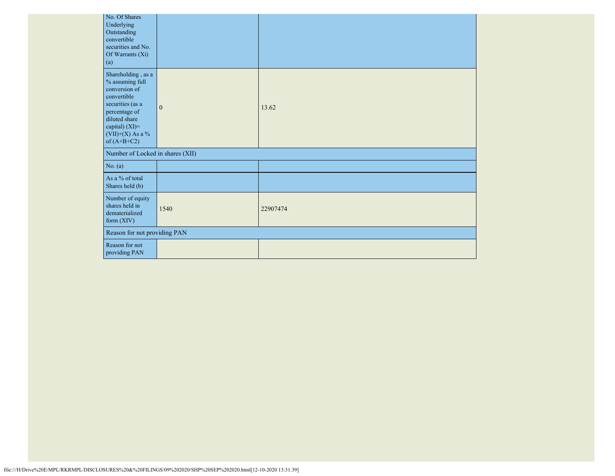|                                  | No. Of Shares<br>Underlying<br>Outstanding<br>convertible<br>securities and No.<br>Of Warrants (Xi)<br>(a)                                                                           |                              |          |  |  |
|----------------------------------|--------------------------------------------------------------------------------------------------------------------------------------------------------------------------------------|------------------------------|----------|--|--|
|                                  | Shareholding, as a<br>% assuming full<br>conversion of<br>convertible<br>securities (as a<br>percentage of<br>diluted share<br>capital) (XI)=<br>$(VII)+(X)$ As a %<br>of $(A+B+C2)$ | $\mathbf{0}$                 | 13.62    |  |  |
| Number of Locked in shares (XII) |                                                                                                                                                                                      |                              |          |  |  |
|                                  | No. (a)                                                                                                                                                                              |                              |          |  |  |
|                                  | As a % of total<br>Shares held (b)                                                                                                                                                   |                              |          |  |  |
|                                  | Number of equity<br>shares held in<br>dematerialized<br>form (XIV)                                                                                                                   | 1540                         | 22907474 |  |  |
|                                  |                                                                                                                                                                                      | Reason for not providing PAN |          |  |  |
|                                  | Reason for not<br>providing PAN                                                                                                                                                      |                              |          |  |  |